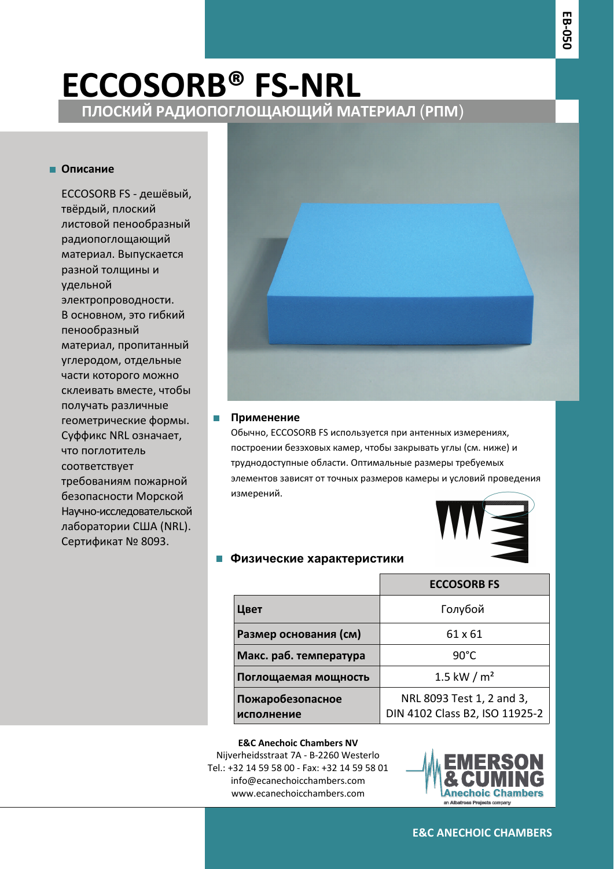# **ПЛОСКИЙ РАДИОПОГЛОЩАЮЩИЙ МАТЕРИАЛ** (**РПМ**) **ECCOSORB® FS‐NRL**

### **Описание**

ECCOSORB FS - дешёвый, твёрдый, плоский листовой пенообразный радиопоглощающий материал. Выпускается разной толщины и удельной электропроводности. В основном, это гибкий пенообразный материал, пропитанный углеродом, отдельные части которого можно склеивать вместе, чтобы получать различные геометрические формы. Суффикс NRL означает, что поглотитель соответствует требованиям пожарной безопасности Морской Научно-исследовательской лаборатории США (NRL). Сертификат № 8093.



#### **Применение** П

Обычно, ECCOSORB FS используется при антенных измерениях, построении безэховых камер, чтобы закрывать углы (см. ниже) и труднодоступные области. Оптимальные размеры требуемых элементов зависят от точных размеров камеры и условий проведения измерений.



### **Физические характеристики**

|                                | <b>ECCOSORB FS</b>                                          |
|--------------------------------|-------------------------------------------------------------|
| Цвет                           | Голубой                                                     |
| Размер основания (см)          | 61 x 61                                                     |
| Макс. раб. температура         | $90^{\circ}$ C                                              |
| Поглощаемая мощность           | 1.5 kW / $m2$                                               |
| Пожаробезопасное<br>исполнение | NRL 8093 Test 1, 2 and 3,<br>DIN 4102 Class B2, ISO 11925-2 |

**E&C Anechoic Chambers NV** Nijverheidsstraat 7A ‐ B‐2260 Westerlo Tel.: +32 14 59 58 00 ‐ Fax: +32 14 59 58 01 info@ecanechoicchambers.com www.ecanechoicchambers.com



**E&C ANECHOIC CHAMBERS**